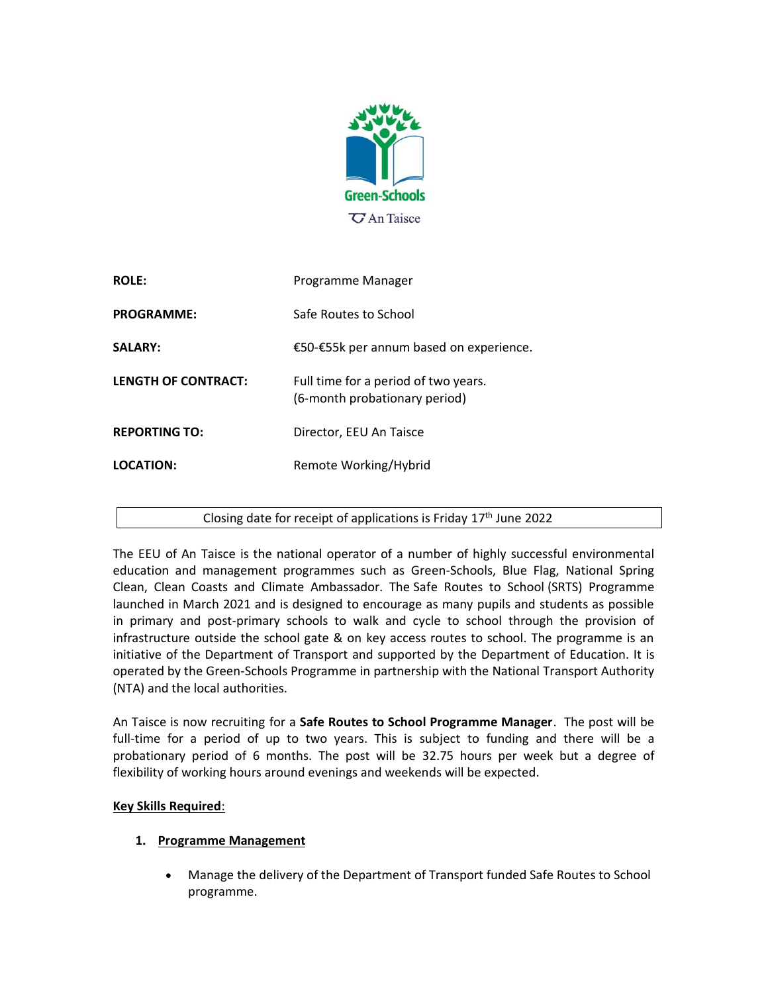

| <b>ROLE:</b>         | Programme Manager                                                     |
|----------------------|-----------------------------------------------------------------------|
| <b>PROGRAMME:</b>    | Safe Routes to School                                                 |
| <b>SALARY:</b>       | €50-€55k per annum based on experience.                               |
| LENGTH OF CONTRACT:  | Full time for a period of two years.<br>(6-month probationary period) |
| <b>REPORTING TO:</b> | Director, EEU An Taisce                                               |
| <b>LOCATION:</b>     | Remote Working/Hybrid                                                 |

# Closing date for receipt of applications is Friday 17<sup>th</sup> June 2022

The EEU of An Taisce is the national operator of a number of highly successful environmental education and management programmes such as Green-Schools, Blue Flag, National Spring Clean, Clean Coasts and Climate Ambassador. The Safe Routes to School (SRTS) Programme launched in March 2021 and is designed to encourage as many pupils and students as possible in primary and post-primary schools to walk and cycle to school through the provision of infrastructure outside the school gate & on key access routes to school. The programme is an initiative of the Department of Transport and supported by the Department of Education. It is operated by the Green-Schools Programme in partnership with the National Transport Authority (NTA) and the local authorities.

An Taisce is now recruiting for a **Safe Routes to School Programme Manager**. The post will be full-time for a period of up to two years. This is subject to funding and there will be a probationary period of 6 months. The post will be 32.75 hours per week but a degree of flexibility of working hours around evenings and weekends will be expected.

### **Key Skills Required**:

### **1. Programme Management**

• Manage the delivery of the Department of Transport funded Safe Routes to School programme.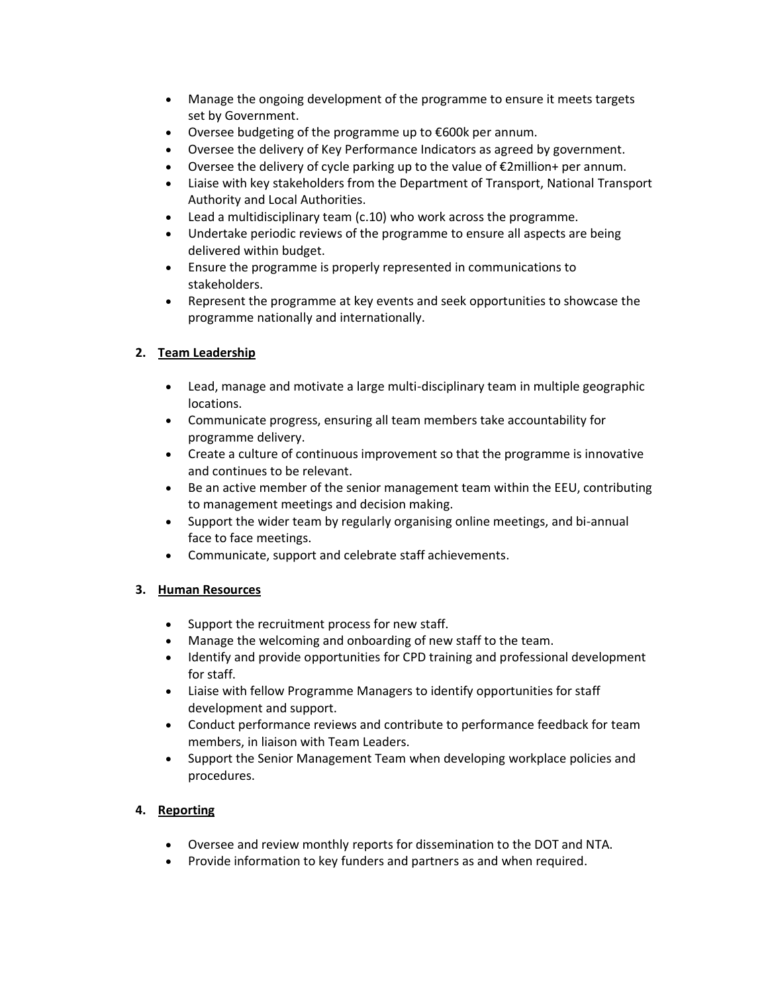- Manage the ongoing development of the programme to ensure it meets targets set by Government.
- Oversee budgeting of the programme up to €600k per annum.
- Oversee the delivery of Key Performance Indicators as agreed by government.
- Oversee the delivery of cycle parking up to the value of  $\epsilon$ 2million+ per annum.
- Liaise with key stakeholders from the Department of Transport, National Transport Authority and Local Authorities.
- Lead a multidisciplinary team (c.10) who work across the programme.
- Undertake periodic reviews of the programme to ensure all aspects are being delivered within budget.
- Ensure the programme is properly represented in communications to stakeholders.
- Represent the programme at key events and seek opportunities to showcase the programme nationally and internationally.

### **2. Team Leadership**

- Lead, manage and motivate a large multi-disciplinary team in multiple geographic locations.
- Communicate progress, ensuring all team members take accountability for programme delivery.
- Create a culture of continuous improvement so that the programme is innovative and continues to be relevant.
- Be an active member of the senior management team within the EEU, contributing to management meetings and decision making.
- Support the wider team by regularly organising online meetings, and bi-annual face to face meetings.
- Communicate, support and celebrate staff achievements.

### **3. Human Resources**

- Support the recruitment process for new staff.
- Manage the welcoming and onboarding of new staff to the team.
- Identify and provide opportunities for CPD training and professional development for staff.
- Liaise with fellow Programme Managers to identify opportunities for staff development and support.
- Conduct performance reviews and contribute to performance feedback for team members, in liaison with Team Leaders.
- Support the Senior Management Team when developing workplace policies and procedures.

## **4. Reporting**

- Oversee and review monthly reports for dissemination to the DOT and NTA.
- Provide information to key funders and partners as and when required.